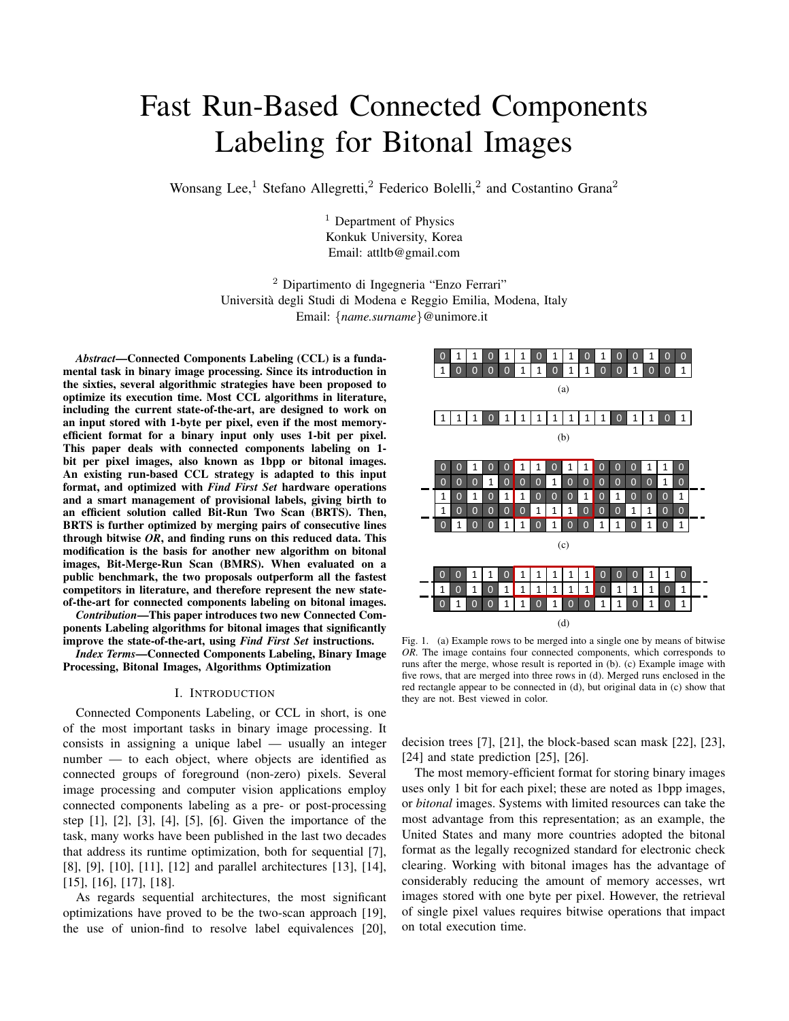# Fast Run-Based Connected Components Labeling for Bitonal Images

Wonsang Lee,<sup>1</sup> Stefano Allegretti,<sup>2</sup> Federico Bolelli,<sup>2</sup> and Costantino Grana<sup>2</sup>

<sup>1</sup> Department of Physics Konkuk University, Korea Email: attltb@gmail.com

<sup>2</sup> Dipartimento di Ingegneria "Enzo Ferrari" Universita degli Studi di Modena e Reggio Emilia, Modena, Italy ` Email: {*name.surname*}@unimore.it

*Abstract*—Connected Components Labeling (CCL) is a fundamental task in binary image processing. Since its introduction in the sixties, several algorithmic strategies have been proposed to optimize its execution time. Most CCL algorithms in literature, including the current state-of-the-art, are designed to work on an input stored with 1-byte per pixel, even if the most memoryefficient format for a binary input only uses 1-bit per pixel. This paper deals with connected components labeling on 1 bit per pixel images, also known as 1bpp or bitonal images. An existing run-based CCL strategy is adapted to this input format, and optimized with *Find First Set* hardware operations and a smart management of provisional labels, giving birth to an efficient solution called Bit-Run Two Scan (BRTS). Then, BRTS is further optimized by merging pairs of consecutive lines through bitwise *OR*, and finding runs on this reduced data. This modification is the basis for another new algorithm on bitonal images, Bit-Merge-Run Scan (BMRS). When evaluated on a public benchmark, the two proposals outperform all the fastest competitors in literature, and therefore represent the new stateof-the-art for connected components labeling on bitonal images.

*Contribution*—This paper introduces two new Connected Components Labeling algorithms for bitonal images that significantly improve the state-of-the-art, using *Find First Set* instructions.

*Index Terms*—Connected Components Labeling, Binary Image Processing, Bitonal Images, Algorithms Optimization

## I. INTRODUCTION

Connected Components Labeling, or CCL in short, is one of the most important tasks in binary image processing. It consists in assigning a unique label — usually an integer number — to each object, where objects are identified as connected groups of foreground (non-zero) pixels. Several image processing and computer vision applications employ connected components labeling as a pre- or post-processing step [1], [2], [3], [4], [5], [6]. Given the importance of the task, many works have been published in the last two decades that address its runtime optimization, both for sequential [7], [8], [9], [10], [11], [12] and parallel architectures [13], [14], [15], [16], [17], [18].

As regards sequential architectures, the most significant optimizations have proved to be the two-scan approach [19], the use of union-find to resolve label equivalences [20],



Fig. 1. (a) Example rows to be merged into a single one by means of bitwise *OR*. The image contains four connected components, which corresponds to runs after the merge, whose result is reported in (b). (c) Example image with five rows, that are merged into three rows in (d). Merged runs enclosed in the red rectangle appear to be connected in (d), but original data in (c) show that they are not. Best viewed in color.

decision trees [7], [21], the block-based scan mask [22], [23], [24] and state prediction [25], [26].

The most memory-efficient format for storing binary images uses only 1 bit for each pixel; these are noted as 1bpp images, or *bitonal* images. Systems with limited resources can take the most advantage from this representation; as an example, the United States and many more countries adopted the bitonal format as the legally recognized standard for electronic check clearing. Working with bitonal images has the advantage of considerably reducing the amount of memory accesses, wrt images stored with one byte per pixel. However, the retrieval of single pixel values requires bitwise operations that impact on total execution time.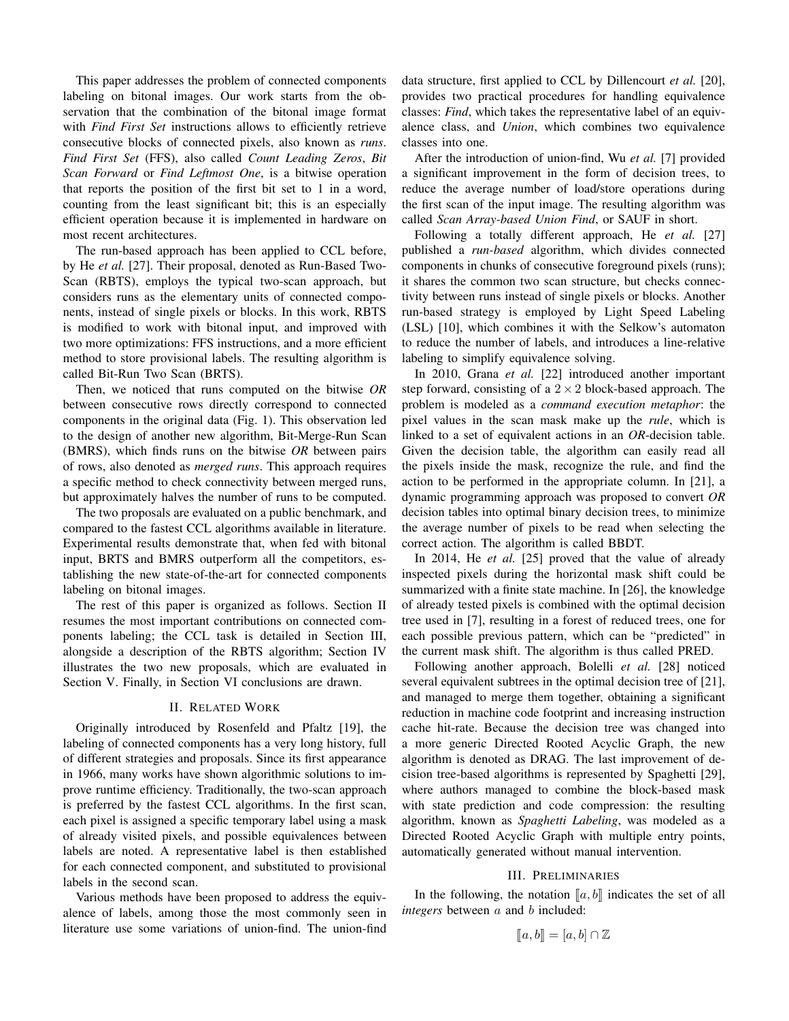This paper addresses the problem of connected components labeling on bitonal images. Our work starts from the observation that the combination of the bitonal image format with *Find First Set* instructions allows to efficiently retrieve consecutive blocks of connected pixels, also known as *runs*. *Find First Set* (FFS), also called *Count Leading Zeros*, *Bit Scan Forward* or *Find Leftmost One*, is a bitwise operation that reports the position of the first bit set to 1 in a word, counting from the least significant bit; this is an especially efficient operation because it is implemented in hardware on most recent architectures.

The run-based approach has been applied to CCL before, by He *et al.* [27]. Their proposal, denoted as Run-Based Two-Scan (RBTS), employs the typical two-scan approach, but considers runs as the elementary units of connected components, instead of single pixels or blocks. In this work, RBTS is modified to work with bitonal input, and improved with two more optimizations: FFS instructions, and a more efficient method to store provisional labels. The resulting algorithm is called Bit-Run Two Scan (BRTS).

Then, we noticed that runs computed on the bitwise *OR* between consecutive rows directly correspond to connected components in the original data (Fig. 1). This observation led to the design of another new algorithm, Bit-Merge-Run Scan (BMRS), which finds runs on the bitwise *OR* between pairs of rows, also denoted as *merged runs*. This approach requires a specific method to check connectivity between merged runs, but approximately halves the number of runs to be computed.

The two proposals are evaluated on a public benchmark, and compared to the fastest CCL algorithms available in literature. Experimental results demonstrate that, when fed with bitonal input, BRTS and BMRS outperform all the competitors, establishing the new state-of-the-art for connected components labeling on bitonal images.

The rest of this paper is organized as follows. Section II resumes the most important contributions on connected components labeling; the CCL task is detailed in Section III, alongside a description of the RBTS algorithm; Section IV illustrates the two new proposals, which are evaluated in Section V. Finally, in Section VI conclusions are drawn.

#### II. RELATED WORK

Originally introduced by Rosenfeld and Pfaltz [19], the labeling of connected components has a very long history, full of different strategies and proposals. Since its first appearance in 1966, many works have shown algorithmic solutions to improve runtime efficiency. Traditionally, the two-scan approach is preferred by the fastest CCL algorithms. In the first scan, each pixel is assigned a specific temporary label using a mask of already visited pixels, and possible equivalences between labels are noted. A representative label is then established for each connected component, and substituted to provisional labels in the second scan.

Various methods have been proposed to address the equivalence of labels, among those the most commonly seen in literature use some variations of union-find. The union-find data structure, first applied to CCL by Dillencourt *et al.* [20], provides two practical procedures for handling equivalence classes: *Find*, which takes the representative label of an equivalence class, and *Union*, which combines two equivalence classes into one.

After the introduction of union-find, Wu *et al.* [7] provided a significant improvement in the form of decision trees, to reduce the average number of load/store operations during the first scan of the input image. The resulting algorithm was called *Scan Array-based Union Find*, or SAUF in short.

Following a totally different approach, He *et al.* [27] published a *run-based* algorithm, which divides connected components in chunks of consecutive foreground pixels (runs); it shares the common two scan structure, but checks connectivity between runs instead of single pixels or blocks. Another run-based strategy is employed by Light Speed Labeling (LSL) [10], which combines it with the Selkow's automaton to reduce the number of labels, and introduces a line-relative labeling to simplify equivalence solving.

In 2010, Grana *et al.* [22] introduced another important step forward, consisting of a  $2 \times 2$  block-based approach. The problem is modeled as a *command execution metaphor*: the pixel values in the scan mask make up the *rule*, which is linked to a set of equivalent actions in an *OR*-decision table. Given the decision table, the algorithm can easily read all the pixels inside the mask, recognize the rule, and find the action to be performed in the appropriate column. In [21], a dynamic programming approach was proposed to convert *OR* decision tables into optimal binary decision trees, to minimize the average number of pixels to be read when selecting the correct action. The algorithm is called BBDT.

In 2014, He *et al.* [25] proved that the value of already inspected pixels during the horizontal mask shift could be summarized with a finite state machine. In [26], the knowledge of already tested pixels is combined with the optimal decision tree used in [7], resulting in a forest of reduced trees, one for each possible previous pattern, which can be "predicted" in the current mask shift. The algorithm is thus called PRED.

Following another approach, Bolelli *et al.* [28] noticed several equivalent subtrees in the optimal decision tree of [21], and managed to merge them together, obtaining a significant reduction in machine code footprint and increasing instruction cache hit-rate. Because the decision tree was changed into a more generic Directed Rooted Acyclic Graph, the new algorithm is denoted as DRAG. The last improvement of decision tree-based algorithms is represented by Spaghetti [29], where authors managed to combine the block-based mask with state prediction and code compression: the resulting algorithm, known as *Spaghetti Labeling*, was modeled as a Directed Rooted Acyclic Graph with multiple entry points, automatically generated without manual intervention.

## III. PRELIMINARIES

In the following, the notation  $\llbracket a, b \rrbracket$  indicates the set of all *integers* between a and b included:

$$
[\![a,b]\!]=[\![a,b]\!]\cap\mathbb{Z}
$$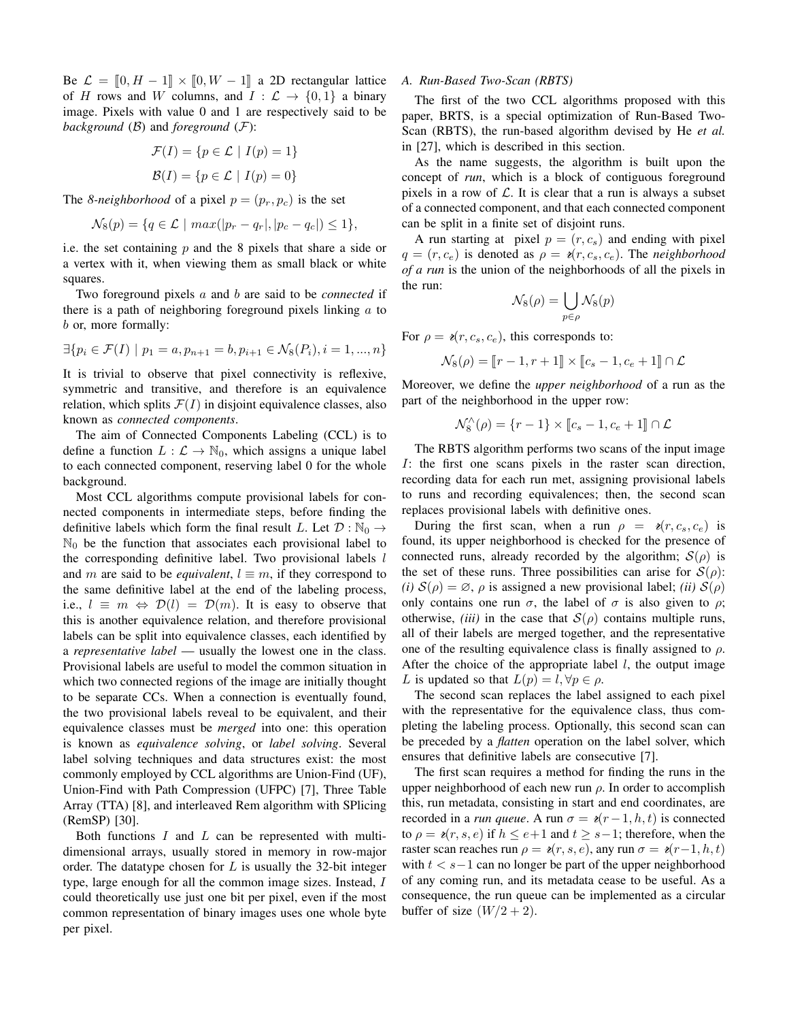Be  $\mathcal{L} = [0, H - 1] \times [0, W - 1]$  a 2D rectangular lattice of H rows and W columns, and  $I : \mathcal{L} \to \{0,1\}$  a binary image. Pixels with value 0 and 1 are respectively said to be *background*  $(B)$  and *foreground*  $(F)$ :

$$
\mathcal{F}(I) = \{ p \in \mathcal{L} \mid I(p) = 1 \}
$$

$$
\mathcal{B}(I) = \{ p \in \mathcal{L} \mid I(p) = 0 \}
$$

The *8-neighborhood* of a pixel  $p = (p_r, p_c)$  is the set

$$
\mathcal{N}_8(p) = \{q \in \mathcal{L} \mid max(|p_r - q_r|, |p_c - q_c|) \le 1\},\
$$

i.e. the set containing  $p$  and the 8 pixels that share a side or a vertex with it, when viewing them as small black or white squares.

Two foreground pixels a and b are said to be *connected* if there is a path of neighboring foreground pixels linking  $\alpha$  to b or, more formally:

$$
\exists \{ p_i \in \mathcal{F}(I) \mid p_1 = a, p_{n+1} = b, p_{i+1} \in \mathcal{N}_8(P_i), i = 1, ..., n \}
$$

It is trivial to observe that pixel connectivity is reflexive, symmetric and transitive, and therefore is an equivalence relation, which splits  $\mathcal{F}(I)$  in disjoint equivalence classes, also known as *connected components*.

The aim of Connected Components Labeling (CCL) is to define a function  $L : \mathcal{L} \to \mathbb{N}_0$ , which assigns a unique label to each connected component, reserving label 0 for the whole background.

Most CCL algorithms compute provisional labels for connected components in intermediate steps, before finding the definitive labels which form the final result L. Let  $\mathcal{D}: \mathbb{N}_0 \to$  $\mathbb{N}_0$  be the function that associates each provisional label to the corresponding definitive label. Two provisional labels  $l$ and m are said to be *equivalent*,  $l \equiv m$ , if they correspond to the same definitive label at the end of the labeling process, i.e.,  $l \equiv m \Leftrightarrow \mathcal{D}(l) = \mathcal{D}(m)$ . It is easy to observe that this is another equivalence relation, and therefore provisional labels can be split into equivalence classes, each identified by a *representative label* — usually the lowest one in the class. Provisional labels are useful to model the common situation in which two connected regions of the image are initially thought to be separate CCs. When a connection is eventually found, the two provisional labels reveal to be equivalent, and their equivalence classes must be *merged* into one: this operation is known as *equivalence solving*, or *label solving*. Several label solving techniques and data structures exist: the most commonly employed by CCL algorithms are Union-Find (UF), Union-Find with Path Compression (UFPC) [7], Three Table Array (TTA) [8], and interleaved Rem algorithm with SPlicing (RemSP) [30].

Both functions  $I$  and  $L$  can be represented with multidimensional arrays, usually stored in memory in row-major order. The datatype chosen for  $L$  is usually the 32-bit integer type, large enough for all the common image sizes. Instead, I could theoretically use just one bit per pixel, even if the most common representation of binary images uses one whole byte per pixel.

#### *A. Run-Based Two-Scan (RBTS)*

The first of the two CCL algorithms proposed with this paper, BRTS, is a special optimization of Run-Based Two-Scan (RBTS), the run-based algorithm devised by He *et al.* in [27], which is described in this section.

As the name suggests, the algorithm is built upon the concept of *run*, which is a block of contiguous foreground pixels in a row of  $\mathcal L$ . It is clear that a run is always a subset of a connected component, and that each connected component can be split in a finite set of disjoint runs.

A run starting at pixel  $p = (r, c_s)$  and ending with pixel  $q = (r, c_e)$  is denoted as  $\rho = \varepsilon(r, c_s, c_e)$ . The *neighborhood of a run* is the union of the neighborhoods of all the pixels in the run:

$$
\mathcal{N}_8(\rho) = \bigcup_{p \in \rho} \mathcal{N}_8(p)
$$

For  $\rho = \varepsilon(r, c_s, c_e)$ , this corresponds to:

$$
\mathcal{N}_8(\rho) = \llbracket r-1, r+1 \rrbracket \times \llbracket c_s-1, c_e+1 \rrbracket \cap \mathcal{L}
$$

Moreover, we define the *upper neighborhood* of a run as the part of the neighborhood in the upper row:

 $\mathcal{N}_8^\wedge(\rho) = \{r-1\} \times [c_s - 1, c_e + 1] \cap \mathcal{L}$ 

The RBTS algorithm performs two scans of the input image I: the first one scans pixels in the raster scan direction, recording data for each run met, assigning provisional labels to runs and recording equivalences; then, the second scan replaces provisional labels with definitive ones.

During the first scan, when a run  $\rho = \varepsilon(r, c_s, c_e)$  is found, its upper neighborhood is checked for the presence of connected runs, already recorded by the algorithm;  $S(\rho)$  is the set of these runs. Three possibilities can arise for  $S(\rho)$ : *(i)*  $S(\rho) = \emptyset$ ,  $\rho$  is assigned a new provisional label; *(ii)*  $S(\rho)$ only contains one run  $\sigma$ , the label of  $\sigma$  is also given to  $\rho$ ; otherwise, *(iii)* in the case that  $S(\rho)$  contains multiple runs, all of their labels are merged together, and the representative one of the resulting equivalence class is finally assigned to  $\rho$ . After the choice of the appropriate label  $l$ , the output image L is updated so that  $L(p) = l, \forall p \in \rho$ .

The second scan replaces the label assigned to each pixel with the representative for the equivalence class, thus completing the labeling process. Optionally, this second scan can be preceded by a *flatten* operation on the label solver, which ensures that definitive labels are consecutive [7].

The first scan requires a method for finding the runs in the upper neighborhood of each new run  $\rho$ . In order to accomplish this, run metadata, consisting in start and end coordinates, are recorded in a *run queue*. A run  $\sigma = \varepsilon(r-1, h, t)$  is connected to  $\rho = \varepsilon(r, s, e)$  if  $h \leq e+1$  and  $t \geq s-1$ ; therefore, when the raster scan reaches run  $\rho = \varepsilon(r, s, e)$ , any run  $\sigma = \varepsilon(r-1, h, t)$ with  $t < s-1$  can no longer be part of the upper neighborhood of any coming run, and its metadata cease to be useful. As a consequence, the run queue can be implemented as a circular buffer of size  $(W/2 + 2)$ .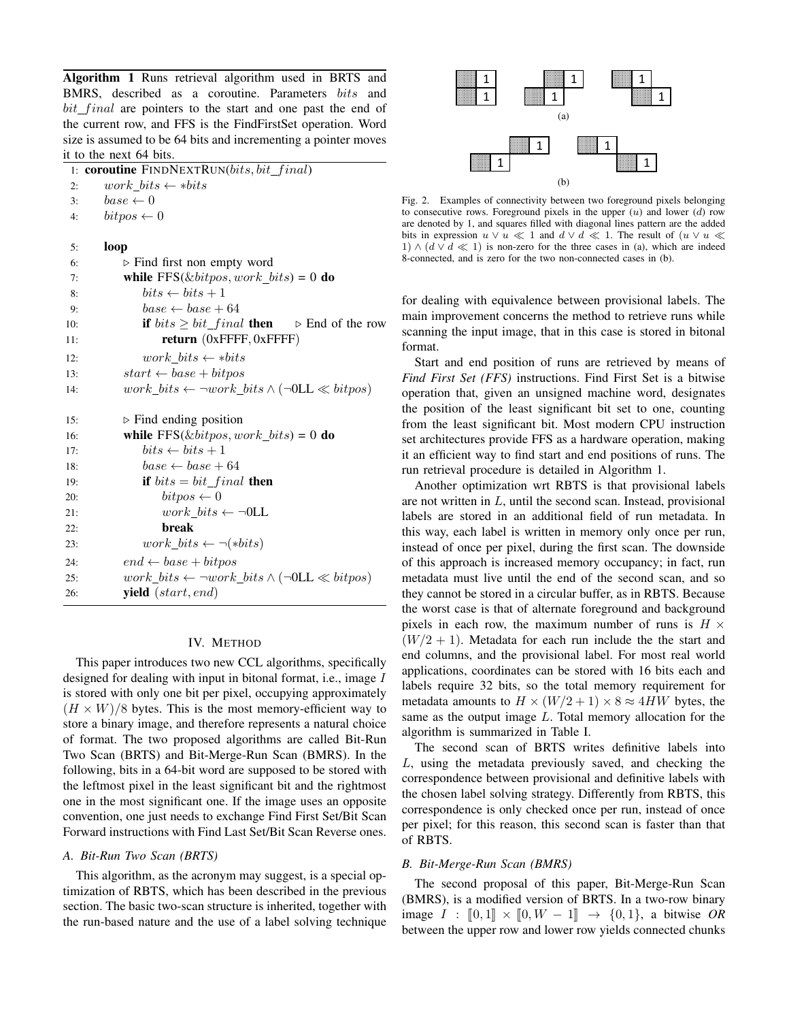Algorithm 1 Runs retrieval algorithm used in BRTS and BMRS, described as a coroutine. Parameters bits and  $bit\_final$  are pointers to the start and one past the end of the current row, and FFS is the FindFirstSet operation. Word size is assumed to be 64 bits and incrementing a pointer moves it to the next 64 bits.

|     | 1: <b>coroutine</b> FINDNEXTRUN( <i>bits</i> , <i>bit_final</i> )    |
|-----|----------------------------------------------------------------------|
| 2:  | $work\_bits \leftarrow *bits$                                        |
| 3:  | $base \leftarrow 0$                                                  |
| 4:  | $bitpos \leftarrow 0$                                                |
|     |                                                                      |
| 5:  | loop                                                                 |
| 6:  | $\triangleright$ Find first non empty word                           |
| 7:  | while $FFS(\&bitpos, work\_bits) = 0$ do                             |
| 8:  | $bits \leftarrow bits + 1$                                           |
| 9:  | $base \leftarrow base + 64$                                          |
| 10: | if $bits \geq bit\_final$ then $\triangleright$ End of the row       |
| 11: | return $(0x$ FFFF, $0x$ FFFF)                                        |
| 12: | work bits $\leftarrow *bits$                                         |
| 13: | $start \leftarrow base + bitpos$                                     |
| 14: | $work\_bits \leftarrow \neg work\_bits \wedge (\neg OLL \ll bitpos)$ |
|     |                                                                      |
| 15: | $\triangleright$ Find ending position                                |
| 16: | while $FFS(\&bitpos, work\_bits) = 0$ do                             |
| 17: | $bits \leftarrow bits + 1$                                           |
| 18: | $base \leftarrow base + 64$                                          |
| 19: | if $bits = bit\_final$ then                                          |
| 20: | $\textit{bitpos} \leftarrow 0$                                       |
| 21: | $work\_bits \leftarrow \neg 0LL$                                     |
| 22: | break                                                                |
| 23: | $work\_bits \leftarrow \neg(\ast bits)$                              |
| 24: | $end \leftarrow base + bitpos$                                       |
| 25: | $work\_bits \leftarrow \neg work\_bits \wedge (\neg OLL \ll bitpos)$ |
| 26: | <b>yield</b> $(start, end)$                                          |

## IV. METHOD

This paper introduces two new CCL algorithms, specifically designed for dealing with input in bitonal format, i.e., image I is stored with only one bit per pixel, occupying approximately  $(H \times W)/8$  bytes. This is the most memory-efficient way to store a binary image, and therefore represents a natural choice of format. The two proposed algorithms are called Bit-Run Two Scan (BRTS) and Bit-Merge-Run Scan (BMRS). In the following, bits in a 64-bit word are supposed to be stored with the leftmost pixel in the least significant bit and the rightmost one in the most significant one. If the image uses an opposite convention, one just needs to exchange Find First Set/Bit Scan Forward instructions with Find Last Set/Bit Scan Reverse ones.

#### *A. Bit-Run Two Scan (BRTS)*

This algorithm, as the acronym may suggest, is a special optimization of RBTS, which has been described in the previous section. The basic two-scan structure is inherited, together with the run-based nature and the use of a label solving technique



Fig. 2. Examples of connectivity between two foreground pixels belonging to consecutive rows. Foreground pixels in the upper  $(u)$  and lower  $(d)$  row are denoted by 1, and squares filled with diagonal lines pattern are the added bits in expression  $u \vee u \ll 1$  and  $d \vee d \ll 1$ . The result of  $(u \vee u \ll 1)$ 1)  $\wedge$  ( $d \vee d \ll 1$ ) is non-zero for the three cases in (a), which are indeed 8-connected, and is zero for the two non-connected cases in (b).

for dealing with equivalence between provisional labels. The main improvement concerns the method to retrieve runs while scanning the input image, that in this case is stored in bitonal format.

Start and end position of runs are retrieved by means of *Find First Set (FFS)* instructions. Find First Set is a bitwise operation that, given an unsigned machine word, designates the position of the least significant bit set to one, counting from the least significant bit. Most modern CPU instruction set architectures provide FFS as a hardware operation, making it an efficient way to find start and end positions of runs. The run retrieval procedure is detailed in Algorithm 1.

Another optimization wrt RBTS is that provisional labels are not written in L, until the second scan. Instead, provisional labels are stored in an additional field of run metadata. In this way, each label is written in memory only once per run, instead of once per pixel, during the first scan. The downside of this approach is increased memory occupancy; in fact, run metadata must live until the end of the second scan, and so they cannot be stored in a circular buffer, as in RBTS. Because the worst case is that of alternate foreground and background pixels in each row, the maximum number of runs is  $H \times$  $(W/2 + 1)$ . Metadata for each run include the the start and end columns, and the provisional label. For most real world applications, coordinates can be stored with 16 bits each and labels require 32 bits, so the total memory requirement for metadata amounts to  $H \times (W/2 + 1) \times 8 \approx 4HW$  bytes, the same as the output image L. Total memory allocation for the algorithm is summarized in Table I.

The second scan of BRTS writes definitive labels into L, using the metadata previously saved, and checking the correspondence between provisional and definitive labels with the chosen label solving strategy. Differently from RBTS, this correspondence is only checked once per run, instead of once per pixel; for this reason, this second scan is faster than that of RBTS.

### *B. Bit-Merge-Run Scan (BMRS)*

The second proposal of this paper, Bit-Merge-Run Scan (BMRS), is a modified version of BRTS. In a two-row binary image *I* :  $[0, 1] \times [0, W - 1] \rightarrow \{0, 1\}$ , a bitwise *OR* between the upper row and lower row yields connected chunks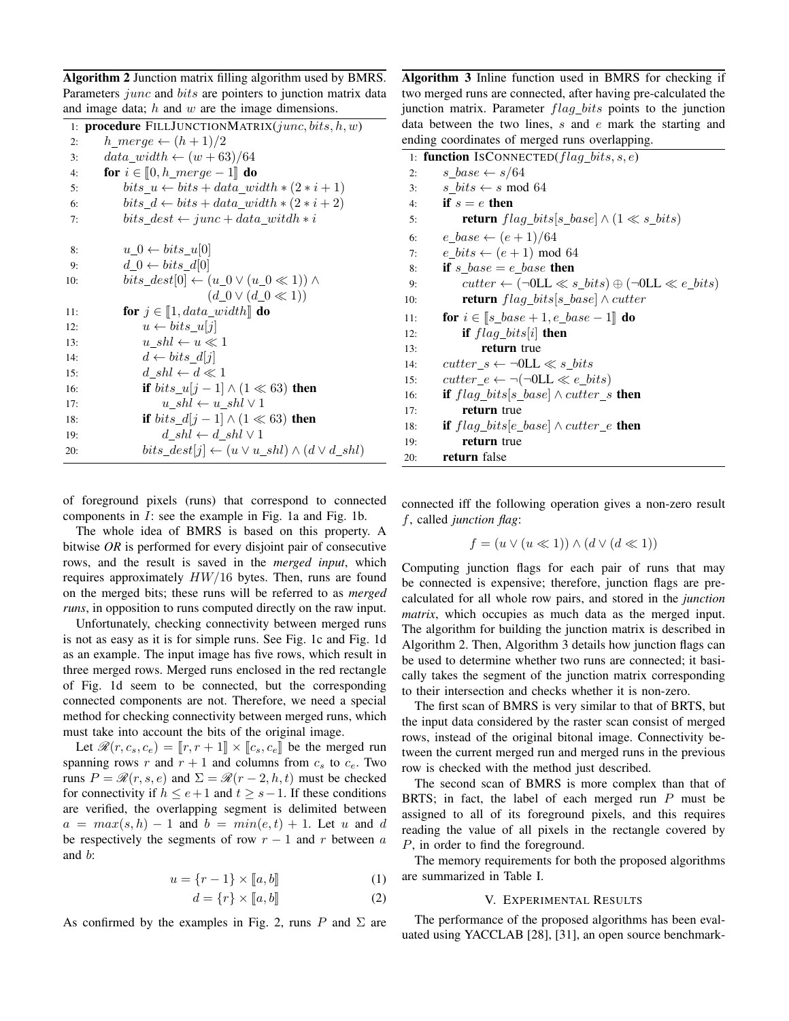| Algorithm 2 Junction matrix filling algorithm used by BMRS.                 |
|-----------------------------------------------------------------------------|
| Parameters <i>junc</i> and <i>bits</i> are pointers to junction matrix data |
| and image data; $h$ and $w$ are the image dimensions.                       |

|     | 1: procedure FILLJUNCTIONMATRIX(junc, bits, h, w)                 |
|-----|-------------------------------------------------------------------|
| 2:  | $h\_merge \leftarrow (h+1)/2$                                     |
| 3:  | $data\_width \leftarrow (w + 63)/64$                              |
| 4:  | for $i \in [0, h\_merge - 1]$ do                                  |
| 5:  | $bits\_u \leftarrow bits + data\_width * (2*i + 1)$               |
| 6:  | $bits_d \leftarrow bits + data\_width * (2*i + 2)$                |
| 7:  | $bits\_dest \leftarrow junc + data\_width * i$                    |
|     |                                                                   |
| 8:  | $u\,0 \leftarrow bits\,u 0 $                                      |
| 9:  | $d_0 \leftarrow bits_d[0]$                                        |
| 10: | $bits\_dest[0] \leftarrow (u_0 \vee (u_0 \ll 1)) \wedge$          |
|     | $(d_0 \vee (d_0 \ll 1))$                                          |
| 11: | for $j \in [\![1, data\_width]\!]$ do                             |
| 12: | $u \leftarrow bits\_u[j]$                                         |
| 13: | $u \; shl \leftarrow u \ll 1$                                     |
| 14: | $d \leftarrow bits \ d[i]$                                        |
| 15: | $d \; shl \leftarrow d \ll 1$                                     |
| 16: | if $bits\_u[j-1] \wedge (1 \ll 63)$ then                          |
| 17: | $u \; shl \leftarrow u\_shl \vee 1$                               |
| 18: | if <i>bits_d</i> [j - 1] $\wedge$ (1 $\ll$ 63) then               |
| 19: | $d \; shl \leftarrow d \; shl \vee 1$                             |
| 20: | $bits\_dest[j] \leftarrow (u \vee u\_shl) \wedge (d \vee d\_shl)$ |

of foreground pixels (runs) that correspond to connected components in  $I$ : see the example in Fig. 1a and Fig. 1b.

The whole idea of BMRS is based on this property. A bitwise *OR* is performed for every disjoint pair of consecutive rows, and the result is saved in the *merged input*, which requires approximately  $HW/16$  bytes. Then, runs are found on the merged bits; these runs will be referred to as *merged runs*, in opposition to runs computed directly on the raw input.

Unfortunately, checking connectivity between merged runs is not as easy as it is for simple runs. See Fig. 1c and Fig. 1d as an example. The input image has five rows, which result in three merged rows. Merged runs enclosed in the red rectangle of Fig. 1d seem to be connected, but the corresponding connected components are not. Therefore, we need a special method for checking connectivity between merged runs, which must take into account the bits of the original image.

Let  $\mathcal{R}(r, c_s, c_e) = [r, r + 1] \times [c_s, c_e]$  be the merged run spanning rows r and  $r + 1$  and columns from  $c_s$  to  $c_e$ . Two runs  $P = \mathcal{R}(r, s, e)$  and  $\Sigma = \mathcal{R}(r - 2, h, t)$  must be checked for connectivity if  $h \le e+1$  and  $t \ge s-1$ . If these conditions are verified, the overlapping segment is delimited between  $a = max(s, h) - 1$  and  $b = min(e, t) + 1$ . Let u and d be respectively the segments of row  $r - 1$  and r between a and b:

$$
u = \{r-1\} \times [a, b]
$$
 (1)

$$
d = \{r\} \times [a, b]
$$
 (2)

As confirmed by the examples in Fig. 2, runs P and  $\Sigma$  are

Algorithm 3 Inline function used in BMRS for checking if two merged runs are connected, after having pre-calculated the junction matrix. Parameter  $flag\_bits$  points to the junction data between the two lines, s and e mark the starting and ending coordinates of merged runs overlapping.

|     | 1: function IsCONNECTED( $flag\_bits, s, e$ )                            |
|-----|--------------------------------------------------------------------------|
| 2:  | $s\_base \leftarrow s/64$                                                |
| 3:  | s bits $\leftarrow$ s mod 64                                             |
| 4:  | if $s=e$ then                                                            |
| 5:  | <b>return</b> flag_bits[s_base] $\wedge$ (1 $\ll$ s_bits)                |
| 6:  | $e\_base \leftarrow (e+1)/64$                                            |
| 7:  | $e\_bits \leftarrow (e+1) \mod 64$                                       |
| 8:  | if s base $=$ e base then                                                |
| 9:  | $cutter \leftarrow (\neg 0LL \ll s\_bits) \oplus (\neg 0LL \ll e\_bits)$ |
| 10: | <b>return</b> $flag\_bits[s\_base] \wedge cutter$                        |
| 11: | for $i \in \llbracket s\_base + 1, e\_base - 1 \rrbracket$ do            |
| 12: | if $flag\_bits[i]$ then                                                  |
| 13: | return true                                                              |
| 14: | $cutter_s \leftarrow \neg 0LL \ll s \; bits$                             |
| 15: | $cutter_e \leftarrow \neg(\neg 0LL \ll e\_bits)$                         |
| 16: | <b>if</b> $flag\_bits[s\_base] \wedge cutter\_s$ then                    |
| 17: | return true                                                              |
| 18: | <b>if</b> $flag\_bits[e\_base] \wedge cutter\_e$ then                    |
| 19: | return true                                                              |
| 20: | return false                                                             |
|     |                                                                          |

connected iff the following operation gives a non-zero result f, called *junction flag*:

$$
f = (u \lor (u \ll 1)) \land (d \lor (d \ll 1))
$$

Computing junction flags for each pair of runs that may be connected is expensive; therefore, junction flags are precalculated for all whole row pairs, and stored in the *junction matrix*, which occupies as much data as the merged input. The algorithm for building the junction matrix is described in Algorithm 2. Then, Algorithm 3 details how junction flags can be used to determine whether two runs are connected; it basically takes the segment of the junction matrix corresponding to their intersection and checks whether it is non-zero.

The first scan of BMRS is very similar to that of BRTS, but the input data considered by the raster scan consist of merged rows, instead of the original bitonal image. Connectivity between the current merged run and merged runs in the previous row is checked with the method just described.

The second scan of BMRS is more complex than that of BRTS; in fact, the label of each merged run  $P$  must be assigned to all of its foreground pixels, and this requires reading the value of all pixels in the rectangle covered by P, in order to find the foreground.

The memory requirements for both the proposed algorithms are summarized in Table I.

#### V. EXPERIMENTAL RESULTS

The performance of the proposed algorithms has been evaluated using YACCLAB [28], [31], an open source benchmark-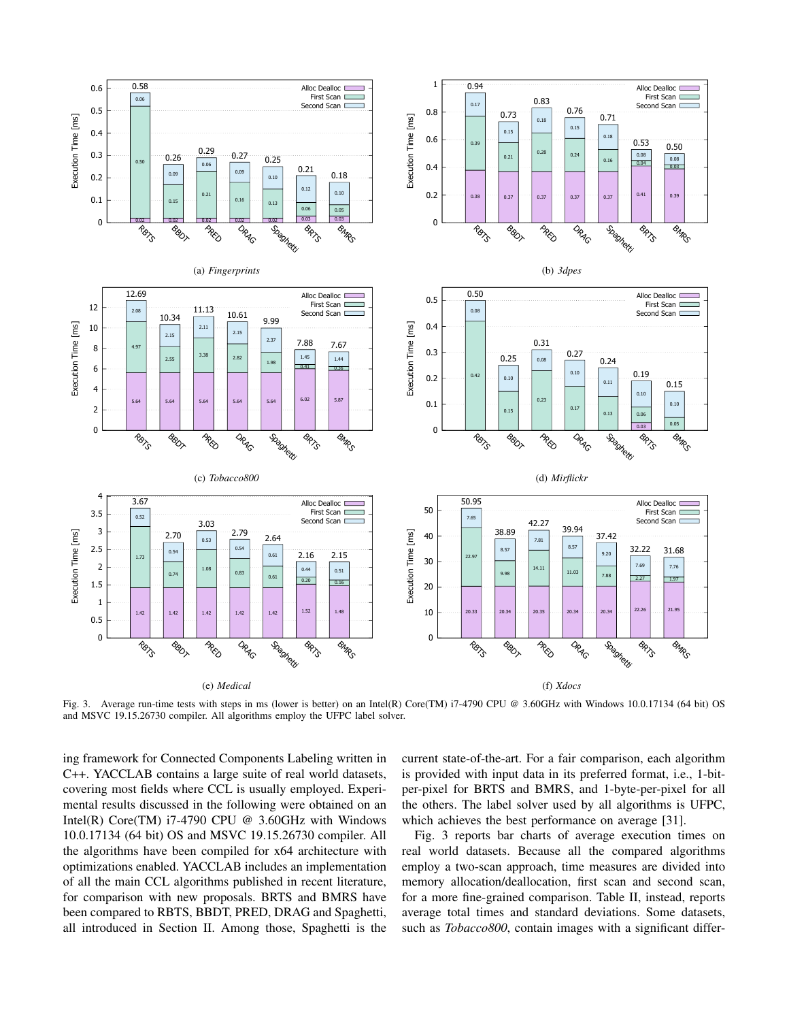

Fig. 3. Average run-time tests with steps in ms (lower is better) on an Intel(R) Core(TM) i7-4790 CPU @ 3.60GHz with Windows 10.0.17134 (64 bit) OS and MSVC 19.15.26730 compiler. All algorithms employ the UFPC label solver.

ing framework for Connected Components Labeling written in C++. YACCLAB contains a large suite of real world datasets, covering most fields where CCL is usually employed. Experimental results discussed in the following were obtained on an Intel(R) Core(TM)  $i7-4790$  CPU @ 3.60GHz with Windows 10.0.17134 (64 bit) OS and MSVC 19.15.26730 compiler. All the algorithms have been compiled for x64 architecture with optimizations enabled. YACCLAB includes an implementation of all the main CCL algorithms published in recent literature, for comparison with new proposals. BRTS and BMRS have been compared to RBTS, BBDT, PRED, DRAG and Spaghetti, all introduced in Section II. Among those, Spaghetti is the current state-of-the-art. For a fair comparison, each algorithm is provided with input data in its preferred format, i.e., 1-bitper-pixel for BRTS and BMRS, and 1-byte-per-pixel for all the others. The label solver used by all algorithms is UFPC, which achieves the best performance on average [31].

Fig. 3 reports bar charts of average execution times on real world datasets. Because all the compared algorithms employ a two-scan approach, time measures are divided into memory allocation/deallocation, first scan and second scan, for a more fine-grained comparison. Table II, instead, reports average total times and standard deviations. Some datasets, such as *Tobacco800*, contain images with a significant differ-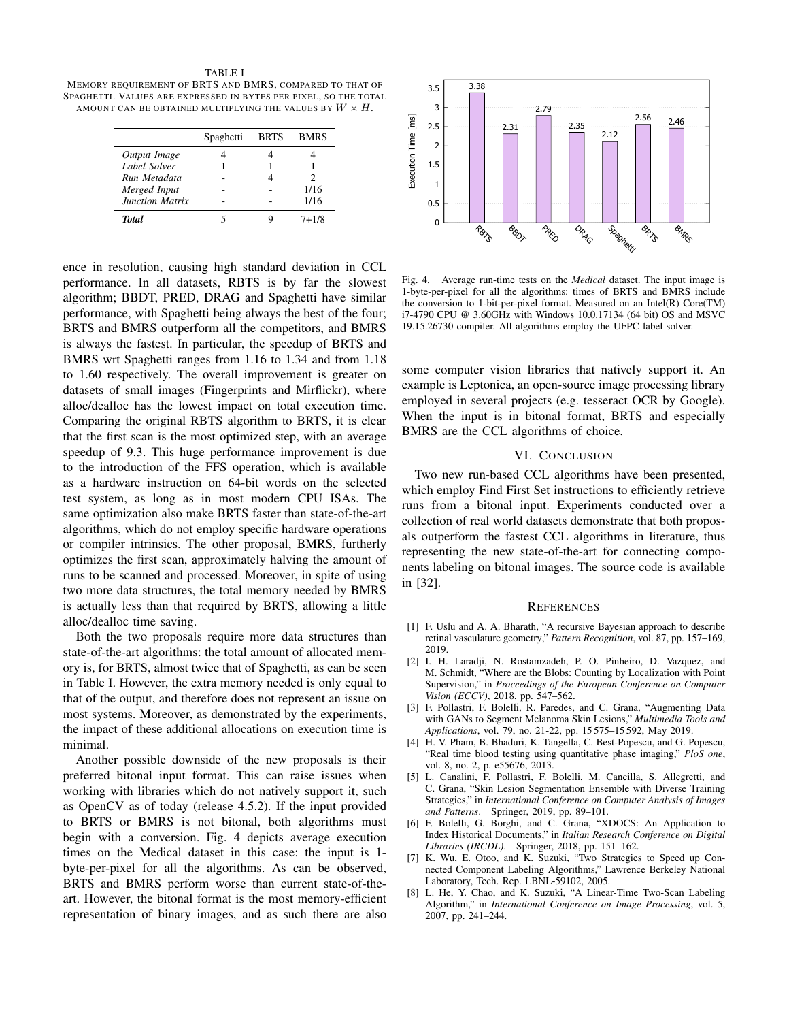TABLE I MEMORY REQUIREMENT OF BRTS AND BMRS, COMPARED TO THAT OF SPAGHETTI. VALUES ARE EXPRESSED IN BYTES PER PIXEL, SO THE TOTAL AMOUNT CAN BE OBTAINED MULTIPLYING THE VALUES BY  $W \times H$ .

|                        | Spaghetti | <b>BRTS</b> | <b>BMRS</b> |
|------------------------|-----------|-------------|-------------|
| Output Image           |           |             |             |
| Label Solver           |           |             |             |
| Run Metadata           |           |             |             |
| Merged Input           |           |             | 1/16        |
| <b>Junction Matrix</b> |           |             | 1/16        |
| Total                  |           |             | $7 + 1/8$   |

ence in resolution, causing high standard deviation in CCL performance. In all datasets, RBTS is by far the slowest algorithm; BBDT, PRED, DRAG and Spaghetti have similar performance, with Spaghetti being always the best of the four; BRTS and BMRS outperform all the competitors, and BMRS is always the fastest. In particular, the speedup of BRTS and BMRS wrt Spaghetti ranges from 1.16 to 1.34 and from 1.18 to 1.60 respectively. The overall improvement is greater on datasets of small images (Fingerprints and Mirflickr), where alloc/dealloc has the lowest impact on total execution time. Comparing the original RBTS algorithm to BRTS, it is clear that the first scan is the most optimized step, with an average speedup of 9.3. This huge performance improvement is due to the introduction of the FFS operation, which is available as a hardware instruction on 64-bit words on the selected test system, as long as in most modern CPU ISAs. The same optimization also make BRTS faster than state-of-the-art algorithms, which do not employ specific hardware operations or compiler intrinsics. The other proposal, BMRS, furtherly optimizes the first scan, approximately halving the amount of runs to be scanned and processed. Moreover, in spite of using two more data structures, the total memory needed by BMRS is actually less than that required by BRTS, allowing a little alloc/dealloc time saving.

Both the two proposals require more data structures than state-of-the-art algorithms: the total amount of allocated memory is, for BRTS, almost twice that of Spaghetti, as can be seen in Table I. However, the extra memory needed is only equal to that of the output, and therefore does not represent an issue on most systems. Moreover, as demonstrated by the experiments, the impact of these additional allocations on execution time is minimal.

Another possible downside of the new proposals is their preferred bitonal input format. This can raise issues when working with libraries which do not natively support it, such as OpenCV as of today (release 4.5.2). If the input provided to BRTS or BMRS is not bitonal, both algorithms must begin with a conversion. Fig. 4 depicts average execution times on the Medical dataset in this case: the input is 1 byte-per-pixel for all the algorithms. As can be observed, BRTS and BMRS perform worse than current state-of-theart. However, the bitonal format is the most memory-efficient representation of binary images, and as such there are also



Fig. 4. Average run-time tests on the *Medical* dataset. The input image is 1-byte-per-pixel for all the algorithms: times of BRTS and BMRS include the conversion to 1-bit-per-pixel format. Measured on an Intel(R) Core(TM) i7-4790 CPU @ 3.60GHz with Windows 10.0.17134 (64 bit) OS and MSVC 19.15.26730 compiler. All algorithms employ the UFPC label solver.

some computer vision libraries that natively support it. An example is Leptonica, an open-source image processing library employed in several projects (e.g. tesseract OCR by Google). When the input is in bitonal format, BRTS and especially BMRS are the CCL algorithms of choice.

## VI. CONCLUSION

Two new run-based CCL algorithms have been presented, which employ Find First Set instructions to efficiently retrieve runs from a bitonal input. Experiments conducted over a collection of real world datasets demonstrate that both proposals outperform the fastest CCL algorithms in literature, thus representing the new state-of-the-art for connecting components labeling on bitonal images. The source code is available in [32].

#### **REFERENCES**

- [1] F. Uslu and A. A. Bharath, "A recursive Bayesian approach to describe retinal vasculature geometry," *Pattern Recognition*, vol. 87, pp. 157–169, 2019.
- [2] I. H. Laradji, N. Rostamzadeh, P. O. Pinheiro, D. Vazquez, and M. Schmidt, "Where are the Blobs: Counting by Localization with Point Supervision," in *Proceedings of the European Conference on Computer Vision (ECCV)*, 2018, pp. 547–562.
- [3] F. Pollastri, F. Bolelli, R. Paredes, and C. Grana, "Augmenting Data with GANs to Segment Melanoma Skin Lesions," *Multimedia Tools and Applications*, vol. 79, no. 21-22, pp. 15 575–15 592, May 2019.
- [4] H. V. Pham, B. Bhaduri, K. Tangella, C. Best-Popescu, and G. Popescu, "Real time blood testing using quantitative phase imaging," *PloS one*, vol. 8, no. 2, p. e55676, 2013.
- [5] L. Canalini, F. Pollastri, F. Bolelli, M. Cancilla, S. Allegretti, and C. Grana, "Skin Lesion Segmentation Ensemble with Diverse Training Strategies," in *International Conference on Computer Analysis of Images and Patterns*. Springer, 2019, pp. 89–101.
- [6] F. Bolelli, G. Borghi, and C. Grana, "XDOCS: An Application to Index Historical Documents," in *Italian Research Conference on Digital Libraries (IRCDL)*. Springer, 2018, pp. 151–162.
- [7] K. Wu, E. Otoo, and K. Suzuki, "Two Strategies to Speed up Connected Component Labeling Algorithms," Lawrence Berkeley National Laboratory, Tech. Rep. LBNL-59102, 2005.
- [8] L. He, Y. Chao, and K. Suzuki, "A Linear-Time Two-Scan Labeling Algorithm," in *International Conference on Image Processing*, vol. 5, 2007, pp. 241–244.